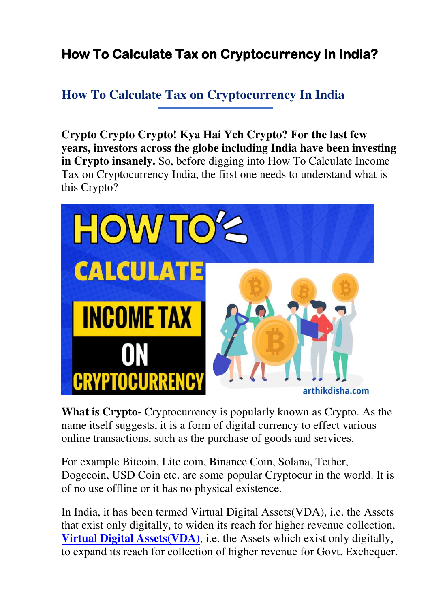# **How To Calculate Tax on Cryptocurrency In India?**

# **How To Calculate Tax on Cryptocurrency In India**

**Crypto Crypto Crypto! Kya Hai Yeh Crypto? For the last few years, investors across the globe including India have been investing in Crypto insanely.** So, before digging into How To Calculate Income Tax on Cryptocurrency India, the first one needs to understand what is this Crypto?



**What is Crypto-** Cryptocurrency is popularly known as Crypto. As the name itself suggests, it is a form of digital currency to effect various online transactions, such as the purchase of goods and services.

For example Bitcoin, Lite coin, Binance Coin, Solana, Tether, Dogecoin, USD Coin etc. are some popular Cryptocur in the world. It is of no use offline or it has no physical existence.

In India, it has been termed Virtual Digital Assets(VDA), i.e. the Assets that exist only digitally, to widen its reach for higher revenue collection, **[Virtual Digital Assets\(VDA\)](https://www.indiatoday.in/business/story/understanding-the-law-why-crypto-is-a-virtual-digital-asset-1937955-2022-04-15)**, i.e. the Assets which exist only digitally, to expand its reach for collection of higher revenue for Govt. Exchequer.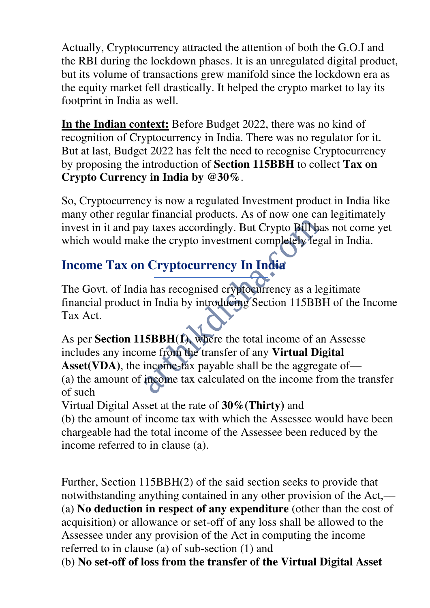Actually, Cryptocurrency attracted the attention of both the G.O.I and the RBI during the lockdown phases. It is an unregulated digital product, but its volume of transactions grew manifold since the lockdown era as the equity market fell drastically. It helped the crypto market to lay its footprint in India as well.

**In the Indian context:** Before Budget 2022, there was no kind of recognition of Cryptocurrency in India. There was no regulator for it. But at last, Budget 2022 has felt the need to recognise Cryptocurrency by proposing the introduction of **Section 115BBH** to collect **Tax on Crypto Currency in India by @30%**.

So, Cryptocurrency is now a regulated Investment product in India like many other regular financial products. As of now one can legitimately invest in it and pay taxes accordingly. But Crypto Bill has not come yet which would make the crypto investment completely legal in India.

# **Income Tax on Cryptocurrency In India**

The Govt. of India has recognised cryptocurrency as a legitimate financial product in India by introducing Section 115BBH of the Income Tax Act.

As per **Section 115BBH(1)**, where the total income of an Assesse includes any income from the transfer of any **Virtual Digital**  Asset(VDA), the income-tax payable shall be the aggregate of— (a) the amount of income tax calculated on the income from the transfer of such

Virtual Digital Asset at the rate of **30%(Thirty)** and

(b) the amount of income tax with which the Assessee would have been chargeable had the total income of the Assessee been reduced by the income referred to in clause (a).

Further, Section 115BBH(2) of the said section seeks to provide that notwithstanding anything contained in any other provision of the Act,— (a) **No deduction in respect of any expenditure** (other than the cost of acquisition) or allowance or set-off of any loss shall be allowed to the Assessee under any provision of the Act in computing the income referred to in clause (a) of sub-section (1) and

(b) **No set-off of loss from the transfer of the Virtual Digital Asset**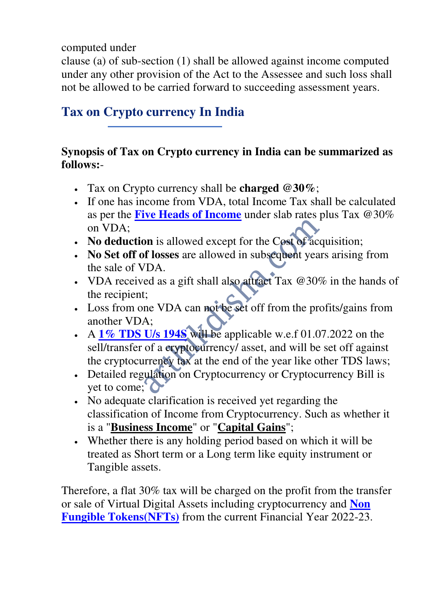computed under

clause (a) of sub-section (1) shall be allowed against income computed under any other provision of the Act to the Assessee and such loss shall not be allowed to be carried forward to succeeding assessment years.

# **Tax on Crypto currency In India**

#### **Synopsis of Tax on Crypto currency in India can be summarized as follows:**-

- Tax on Crypto currency shall be **charged @30%**;
- If one has income from VDA, total Income Tax shall be calculated as per the **[Five Heads of Income](https://www.policybazaar.com/income-tax/what-are-the-heads-of-income-under-income-tax-act/)** under slab rates plus Tax @30% on VDA;
- No deduction is allowed except for the Cost of acquisition;
- **No Set off of losses** are allowed in subsequent years arising from the sale of VDA.
- VDA received as a gift shall also attract Tax @30% in the hands of the recipient;
- Loss from one VDA can not be set off from the profits/gains from another VDA;
- A **[1% TDS U/s 194S](https://arthikdisha.com/tds-rate-chart-fy-2022-23-in-excel-download/)** will be applicable w.e.f 01.07.2022 on the sell/transfer of a cryptocurrency/ asset, and will be set off against the cryptocurrency tax at the end of the year like other TDS laws;
- Detailed regulation on Cryptocurrency or Cryptocurrency Bill is yet to come;
- No adequate clarification is received yet regarding the classification of Income from Cryptocurrency. Such as whether it is a "**Business Income**" or "**Capital Gains**";
- Whether there is any holding period based on which it will be treated as Short term or a Long term like equity instrument or Tangible assets.

Therefore, a flat 30% tax will be charged on the profit from the transfer or sale of Virtual Digital Assets including cryptocurrency and **[Non](https://www.investopedia.com/non-fungible-tokens-nft-5115211)  [Fungible Tokens\(NFTs\)](https://www.investopedia.com/non-fungible-tokens-nft-5115211)** from the current Financial Year 2022-23.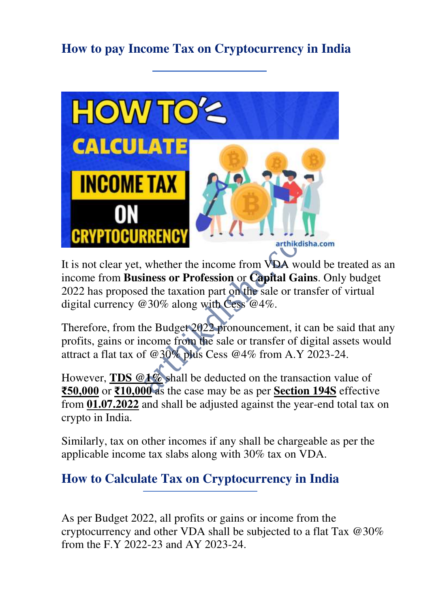# **How to pay Income Tax on Cryptocurrency in India**



It is not clear yet, whether the income from VDA would be treated as an income from **Business or Profession** or **Capital Gains**. Only budget 2022 has proposed the taxation part on the sale or transfer of virtual digital currency @30% along with Cess @4%.

Therefore, from the Budget 2022 pronouncement, it can be said that any profits, gains or income from the sale or transfer of digital assets would attract a flat tax of @30% plus Cess @4% from A.Y 2023-24.

However, **TDS @1%** shall be deducted on the transaction value of **₹50,000** or **₹10,000** as the case may be as per **Section 194S** effective from **01.07.2022** and shall be adjusted against the year-end total tax on crypto in India.

Similarly, tax on other incomes if any shall be chargeable as per the applicable income tax slabs along with 30% tax on VDA.

## **How to Calculate Tax on Cryptocurrency in India**

As per Budget 2022, all profits or gains or income from the cryptocurrency and other VDA shall be subjected to a flat Tax @30% from the F.Y 2022-23 and AY 2023-24.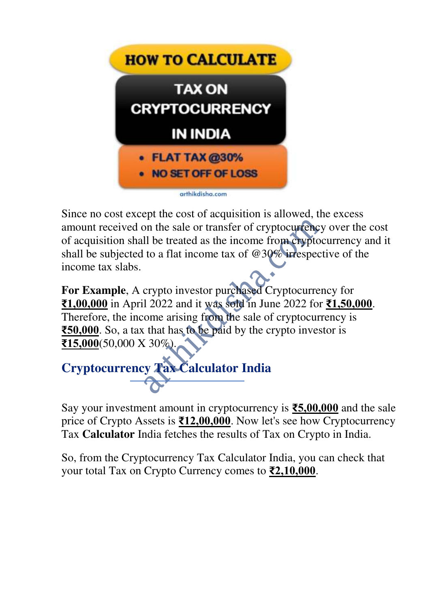

Since no cost except the cost of acquisition is allowed, the excess amount received on the sale or transfer of cryptocurrency over the cost of acquisition shall be treated as the income from cryptocurrency and it shall be subjected to a flat income tax of @30% irrespective of the income tax slabs.

**For Example**, A crypto investor purchased Cryptocurrency for **₹1,00,000** in April 2022 and it was sold in June 2022 for **₹1,50,000**. Therefore, the income arising from the sale of cryptocurrency is **₹50,000**. So, a tax that has to be paid by the crypto investor is **₹15,000**(50,000 X 30%).



Say your investment amount in cryptocurrency is **₹5,00,000** and the sale price of Crypto Assets is **₹12,00,000**. Now let's see how Cryptocurrency Tax **Calculator** India fetches the results of Tax on Crypto in India.

So, from the Cryptocurrency Tax Calculator India, you can check that your total Tax on Crypto Currency comes to **₹2,10,000**.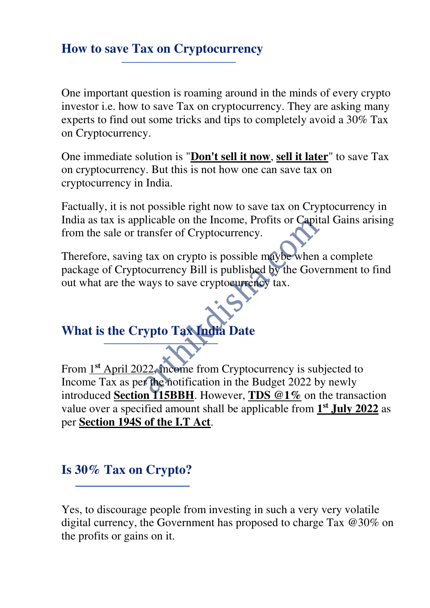#### **How to save Tax on Cryptocurrency**

One important question is roaming around in the minds of every crypto investor i.e. how to save Tax on cryptocurrency. They are asking many experts to find out some tricks and tips to completely avoid a 30% Tax on Cryptocurrency.

One immediate solution is "**Don't sell it now**, **sell it later**" to save Tax on cryptocurrency. But this is not how one can save tax on cryptocurrency in India.

Factually, it is not possible right now to save tax on Cryptocurrency in India as tax is applicable on the Income, Profits or Capital Gains arising from the sale or transfer of Cryptocurrency.

Therefore, saving tax on crypto is possible maybe when a complete package of Cryptocurrency Bill is published by the Government to find out what are the ways to save cryptocurrency tax.

#### **What is the Crypto Tax India Date**

From 1**st** April 2022, income from Cryptocurrency is subjected to Income Tax as per the notification in the Budget 2022 by newly introduced **Section 115BBH**. However, **TDS @1%** on the transaction value over a specified amount shall be applicable from  $1<sup>st</sup>$ **July 2022** as per **Section 194S of the I.T Act**.

#### **Is 30% Tax on Crypto?**

Yes, to discourage people from investing in such a very very volatile digital currency, the Government has proposed to charge Tax @30% on the profits or gains on it.